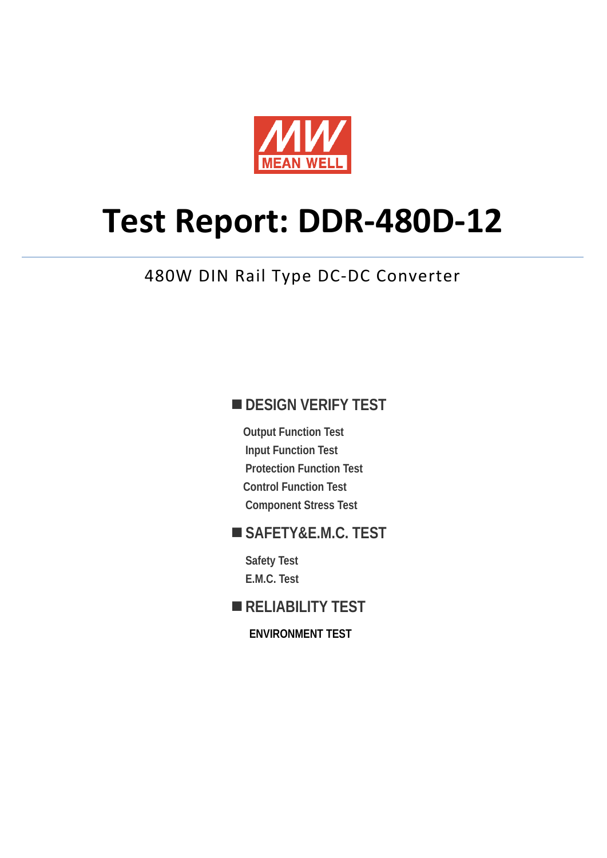

# **Test Report: DDR-480D-12**

# 480W DIN Rail Type DC-DC Converter

# **DESIGN VERIFY TEST**

**Output Function Test Input Function Test Protection Function Test Control Function Test Component Stress Test** 

# **SAFETY&E.M.C. TEST**

**Safety Test E.M.C. Test** 

### **RELIABILITY TEST**

**ENVIRONMENT TEST**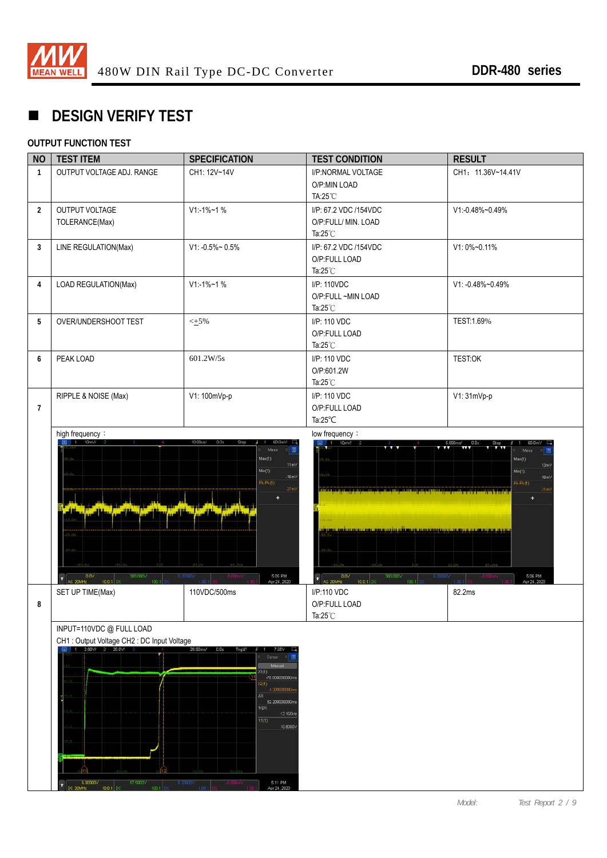

# **DESIGN VERIFY TEST**

#### **OUTPUT FUNCTION TEST**

| <b>NO</b>      | <b>TEST ITEM</b>                                                                                                                                              | <b>SPECIFICATION</b>                                                                                                                                                                                                   | <b>TEST CONDITION</b>                                                                                                                                                                                                         | <b>RESULT</b>                                                           |
|----------------|---------------------------------------------------------------------------------------------------------------------------------------------------------------|------------------------------------------------------------------------------------------------------------------------------------------------------------------------------------------------------------------------|-------------------------------------------------------------------------------------------------------------------------------------------------------------------------------------------------------------------------------|-------------------------------------------------------------------------|
| $\mathbf{1}$   | OUTPUT VOLTAGE ADJ. RANGE                                                                                                                                     | CH1: 12V~14V                                                                                                                                                                                                           | I/P:NORMAL VOLTAGE<br>O/P:MIN LOAD<br>TA:25°C                                                                                                                                                                                 | CH1: 11.36V~14.41V                                                      |
| $\overline{2}$ | OUTPUT VOLTAGE<br>TOLERANCE(Max)                                                                                                                              | $V1:1\%$ ~1 %                                                                                                                                                                                                          | I/P: 67.2 VDC /154VDC<br>O/P:FULL/ MIN. LOAD<br>Ta: $25^{\circ}$ C                                                                                                                                                            | V1:-0.48%~0.49%                                                         |
| 3              | LINE REGULATION(Max)                                                                                                                                          | $V1: -0.5\% \sim 0.5\%$                                                                                                                                                                                                | I/P: 67.2 VDC /154VDC<br>O/P:FULL LOAD<br>Ta: $25^{\circ}$ C                                                                                                                                                                  | V1: 0%~0.11%                                                            |
| 4              | LOAD REGULATION(Max)                                                                                                                                          | $V1 - 1% - 1%$                                                                                                                                                                                                         | I/P: 110VDC<br>O/P:FULL ~MIN LOAD<br>Ta: $25^{\circ}$ C                                                                                                                                                                       | V1: -0.48%~0.49%                                                        |
| 5              | OVER/UNDERSHOOT TEST                                                                                                                                          | $\leq$ +5%                                                                                                                                                                                                             | I/P: 110 VDC<br>O/P:FULL LOAD<br>Ta: $25^{\circ}$ C                                                                                                                                                                           | TEST:1.69%                                                              |
| 6              | PEAK LOAD                                                                                                                                                     | 601.2 W/5s                                                                                                                                                                                                             | I/P: 110 VDC<br>O/P:601.2W<br>Ta: $25^{\circ}$ C                                                                                                                                                                              | <b>TEST:OK</b>                                                          |
| $\overline{7}$ | RIPPLE & NOISE (Max)                                                                                                                                          | V1: 100mVp-p                                                                                                                                                                                                           | I/P: 110 VDC<br>O/P:FULL LOAD<br>Ta: $25^{\circ}$ C                                                                                                                                                                           | V1: 31mVp-p                                                             |
|                | $$0.0\%$ AC 20MHz<br>300.000V                                                                                                                                 | Meas<br>$Max(1)$ :<br>11mV<br>Min(1)<br>$-16mV$<br>$P_k(P_k(1))$<br><b>California</b><br>5:05 PM<br>Apr 24, 2020<br>6.2000V                                                                                            | die er en begint is in de de tribe eine eine mei der en beginn eine genetische Sierre und gegenstellt und der<br><u>titul toi ilmoin maatti ja taimaittaman maan alueen saatti ja taima tan</u><br>0.0V<br>300.000V<br>6,2000 | 目<br>Max(1)<br>13mV<br>Min(1)<br>$-18mV$<br>$p_k$ $p_k(1)$<br>31m)<br>÷ |
| 8              | 100:1<br>10.0:1 DC<br>SET UP TIME(Max)                                                                                                                        | 110VDC/500ms                                                                                                                                                                                                           | $\bullet$<br>100:1<br>10.0:1 DC<br>AC 20MHz<br>I/P:110 VDC<br>O/P:FULL LOAD<br>Ta: $25^{\circ}$ C                                                                                                                             | 5:06 PM<br>Apr 24, 2020<br>82.2ms                                       |
|                | INPUT=110VDC @ FULL LOAD<br>CH1: Output Voltage CH2: DC Input Voltage<br>1 2.00 V/ 2 20.0 V/ 3<br>57 5000V<br>6.00000V<br>o<br>DC 20MHz<br>10.0:1 DC<br>100.1 | 20.00ms/ 0.0s<br>Trig'd?<br>7.65V<br>Curson<br>Manual<br>X1(1)<br>-78.00000000m<br>(2(1)<br>4.20000000m<br>AX:<br>82.200000000ms<br>$1/\Delta X$<br>12.165Hz<br>Y1(1)<br>10.8000V<br>5:11 PM<br>6,8000<br>Apr 24, 2020 |                                                                                                                                                                                                                               |                                                                         |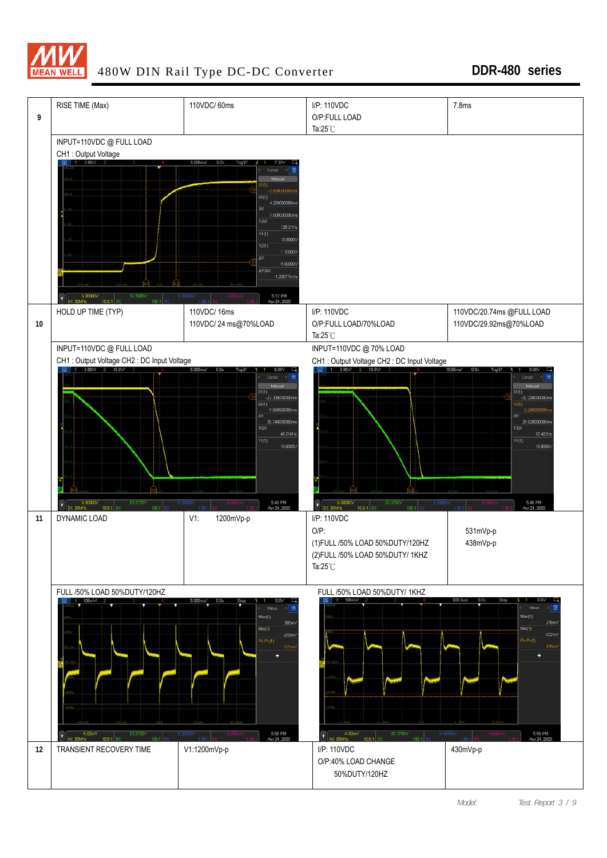

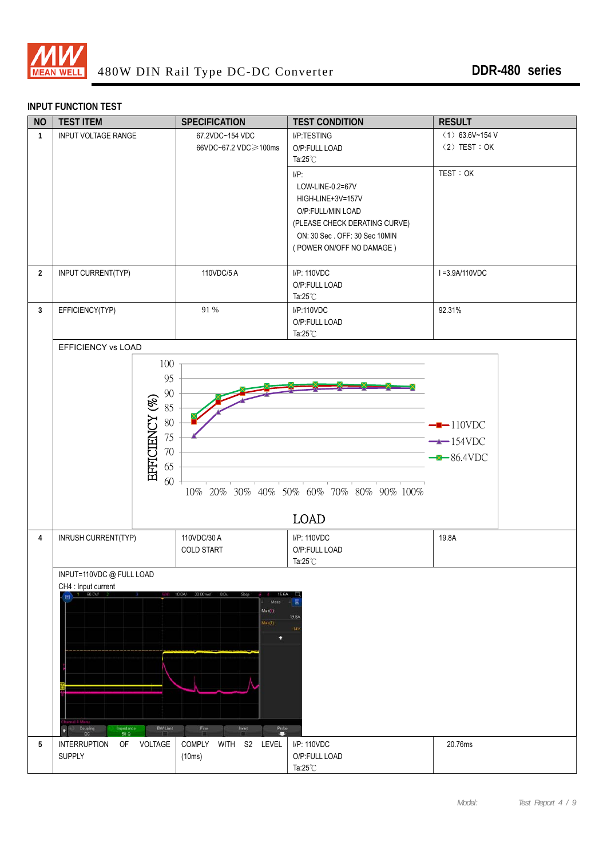

### **INPUT FUNCTION TEST**

| <b>NO</b>      | <b>TEST ITEM</b>                                                                                     | <b>SPECIFICATION</b>                                                                                                                     | <b>TEST CONDITION</b>                                                                                                                                               | <b>RESULT</b>                                      |
|----------------|------------------------------------------------------------------------------------------------------|------------------------------------------------------------------------------------------------------------------------------------------|---------------------------------------------------------------------------------------------------------------------------------------------------------------------|----------------------------------------------------|
| $\mathbf{1}$   | <b>INPUT VOLTAGE RANGE</b>                                                                           | 67.2VDC~154 VDC<br>66VDC~67.2 VDC≥100ms                                                                                                  | I/P:TESTING<br>O/P:FULL LOAD<br>Ta: $25^{\circ}$ C                                                                                                                  | $(1)$ 63.6V~154 V<br>$(2)$ TEST : OK               |
|                |                                                                                                      |                                                                                                                                          | $I/P$ :<br>LOW-LINE-0.2=67V<br>HIGH-LINE+3V=157V<br>O/P:FULL/MIN LOAD<br>(PLEASE CHECK DERATING CURVE)<br>ON: 30 Sec. OFF: 30 Sec 10MIN<br>(POWER ON/OFF NO DAMAGE) | TEST: OK                                           |
| $\overline{2}$ | INPUT CURRENT(TYP)                                                                                   | 110VDC/5A                                                                                                                                | I/P: 110VDC<br>O/P:FULL LOAD<br>Ta: $25^{\circ}$ C                                                                                                                  | I=3.9A/110VDC                                      |
| $\mathbf{3}$   | EFFICIENCY(TYP)                                                                                      | 91 %                                                                                                                                     | I/P:110VDC<br>O/P:FULL LOAD<br>Ta: $25^{\circ}$ C                                                                                                                   | 92.31%                                             |
|                | <b>EFFICIENCY vs LOAD</b>                                                                            |                                                                                                                                          |                                                                                                                                                                     |                                                    |
|                | 100<br>95<br>$90\,$<br>EFFICIENCY (%)<br>85<br>$80\,$<br>75<br>$70\,$<br>65<br>60                    |                                                                                                                                          | 10% 20% 30% 40% 50% 60% 70% 80% 90% 100%<br><b>LOAD</b>                                                                                                             | $-$ -110VDC<br>$\rightarrow$ 154VDC<br>$-86.4$ VDC |
| 4              | INRUSH CURRENT(TYP)                                                                                  | 110VDC/30 A<br>COLD START                                                                                                                | I/P: 110VDC<br>O/P:FULL LOAD<br>Ta: $25^{\circ}$ C                                                                                                                  | 19.8A                                              |
|                | INPUT=110VDC @ FULL LOAD                                                                             |                                                                                                                                          |                                                                                                                                                                     |                                                    |
|                | CH4 : Input current<br>50.0V/<br><b>BW Limit</b><br>Coupling<br>DC<br>Impedance<br>n<br>$50\ \Omega$ | 10.0A/<br>20.00ms/<br>0.05<br>Meas<br>Max(4)<br>Max(1)<br>٠<br>$\begin{array}{c}\n\text{Probe} \\ \hline\n\end{array}$<br>Fine<br>Invert | 匡<br>19.8A<br>114V                                                                                                                                                  |                                                    |
| 5              | VOLTAGE<br><b>INTERRUPTION</b><br>0F<br><b>SUPPLY</b>                                                | COMPLY<br>WITH S2 LEVEL<br>(10ms)                                                                                                        | I/P: 110VDC<br>O/P:FULL LOAD<br>Ta: $25^{\circ}$ C                                                                                                                  | 20.76ms                                            |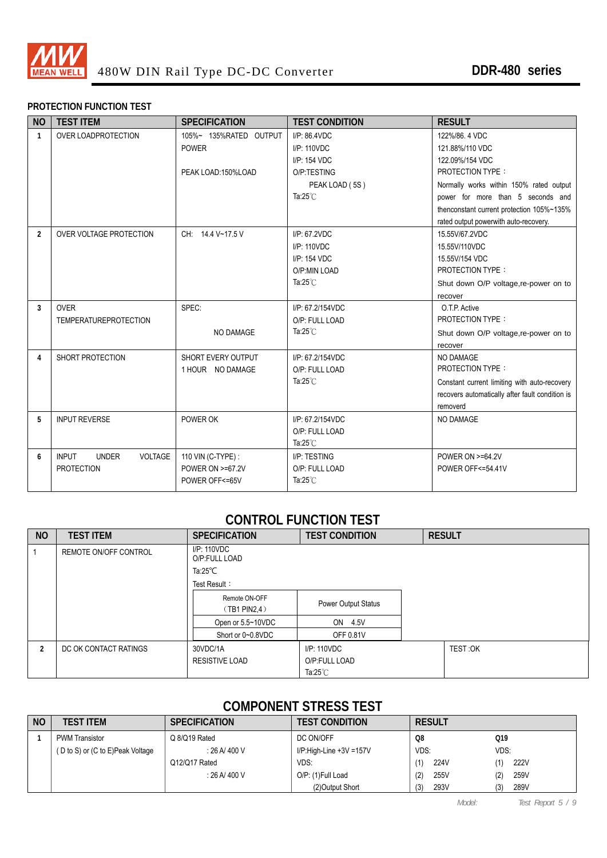

#### **PROTECTION FUNCTION TEST**

| <b>NO</b>      | <b>TEST ITEM</b>                        | <b>SPECIFICATION</b>   | <b>TEST CONDITION</b> | <b>RESULT</b>                                   |
|----------------|-----------------------------------------|------------------------|-----------------------|-------------------------------------------------|
| $\mathbf{1}$   | OVER LOADPROTECTION                     | 105%~ 135%RATED OUTPUT | $I/P$ : 86.4VDC       | 122%/86, 4 VDC                                  |
|                |                                         | <b>POWER</b>           | I/P: 110VDC           | 121.88%/110 VDC                                 |
|                |                                         |                        | I/P: 154 VDC          | 122.09%/154 VDC                                 |
|                |                                         | PEAK LOAD:150%LOAD     | O/P:TESTING           | <b>PROTECTION TYPE:</b>                         |
|                |                                         |                        | PEAK LOAD (5S)        | Normally works within 150% rated output         |
|                |                                         |                        | Ta: $25^{\circ}$ C    | power for more than 5 seconds and               |
|                |                                         |                        |                       | thenconstant current protection 105%~135%       |
|                |                                         |                        |                       | rated output powerwith auto-recovery.           |
| $\overline{2}$ | OVER VOLTAGE PROTECTION                 | CH: 14.4 V~17.5 V      | I/P: 67.2VDC          | 15.55V/67.2VDC                                  |
|                |                                         |                        | I/P: 110VDC           | 15.55V/110VDC                                   |
|                |                                         |                        | I/P: 154 VDC          | 15.55V/154 VDC                                  |
|                |                                         |                        | O/P:MIN LOAD          | <b>PROTECTION TYPE:</b>                         |
|                |                                         |                        | Ta: $25^{\circ}$ C    | Shut down O/P voltage, re-power on to           |
|                |                                         |                        |                       | recover                                         |
| 3              | <b>OVER</b>                             | SPEC:                  | I/P: 67.2/154VDC      | O.T.P. Active                                   |
|                | <b>TEMPERATUREPROTECTION</b>            |                        | O/P: FULL LOAD        | <b>PROTECTION TYPE:</b>                         |
|                |                                         | NO DAMAGE              | Ta: $25^{\circ}$ C    | Shut down O/P voltage, re-power on to           |
|                |                                         |                        |                       | recover                                         |
| 4              | SHORT PROTECTION                        | SHORT EVERY OUTPUT     | I/P: 67.2/154VDC      | NO DAMAGE                                       |
|                |                                         | 1 HOUR NO DAMAGE       | O/P: FULL LOAD        | <b>PROTECTION TYPE:</b>                         |
|                |                                         |                        | Ta: $25^{\circ}$ C    | Constant current limiting with auto-recovery    |
|                |                                         |                        |                       | recovers automatically after fault condition is |
|                |                                         |                        |                       | removerd                                        |
| 5              | <b>INPUT REVERSE</b>                    | POWER OK               | I/P: 67.2/154VDC      | <b>NO DAMAGE</b>                                |
|                |                                         |                        | O/P: FULL LOAD        |                                                 |
|                |                                         |                        | Ta: $25^{\circ}$ C    |                                                 |
| 6              | <b>INPUT</b><br>VOLTAGE<br><b>UNDER</b> | 110 VIN (C-TYPE) :     | I/P: TESTING          | <b>POWER ON &gt;=64.2V</b>                      |
|                | <b>PROTECTION</b>                       | POWER ON >=67.2V       | O/P: FULL LOAD        | POWER OFF<=54.41V                               |
|                |                                         | POWER OFF<=65V         | Ta: $25^{\circ}$ C    |                                                 |
|                |                                         |                        |                       |                                                 |

### **CONTROL FUNCTION TEST**

| <b>NO</b>      | <b>TEST ITEM</b>      | <b>SPECIFICATION</b>                                                     | <b>TEST CONDITION</b>                                    | <b>RESULT</b> |
|----------------|-----------------------|--------------------------------------------------------------------------|----------------------------------------------------------|---------------|
|                | REMOTE ON/OFF CONTROL | $I/P$ : 110 $VDC$<br>O/P:FULL LOAD<br>Ta: $25^{\circ}$ C<br>Test Result: |                                                          |               |
|                |                       | Remote ON-OFF<br>(TB1 PIN2, 4)                                           | <b>Power Output Status</b>                               |               |
|                |                       | Open or 5.5~10VDC                                                        | ON 4.5V                                                  |               |
|                |                       | Short or 0~0.8VDC                                                        | <b>OFF 0.81V</b>                                         |               |
| $\overline{2}$ | DC OK CONTACT RATINGS | 30VDC/1A<br><b>RESISTIVE LOAD</b>                                        | $I/P$ : 110 $VDC$<br>O/P:FULL LOAD<br>Ta: $25^{\circ}$ C | TEST:OK       |

### **COMPONENT STRESS TEST**

| N <sub>O</sub> | TEST ITEM                        | <b>SPECIFICATION</b> | <b>TEST CONDITION</b>   | <b>RESULT</b> |             |
|----------------|----------------------------------|----------------------|-------------------------|---------------|-------------|
|                | <b>PWM Transistor</b>            | Q 8/Q19 Rated        | DC ON/OFF               | Q8            | Q19         |
|                | (D to S) or (C to E)Peak Voltage | : 26 A/ 400 V        | I/P:High-Line +3V =157V | VDS:          | VDS:        |
|                |                                  | Q12/Q17 Rated        | VDS:                    | 224V          | 222V        |
|                |                                  | : 26 A/ 400 V        | O/P: (1)Full Load       | (2)<br>255V   | 259V<br>(2) |
|                |                                  |                      | (2) Output Short        | 293V<br>(3)   | 289V<br>(3) |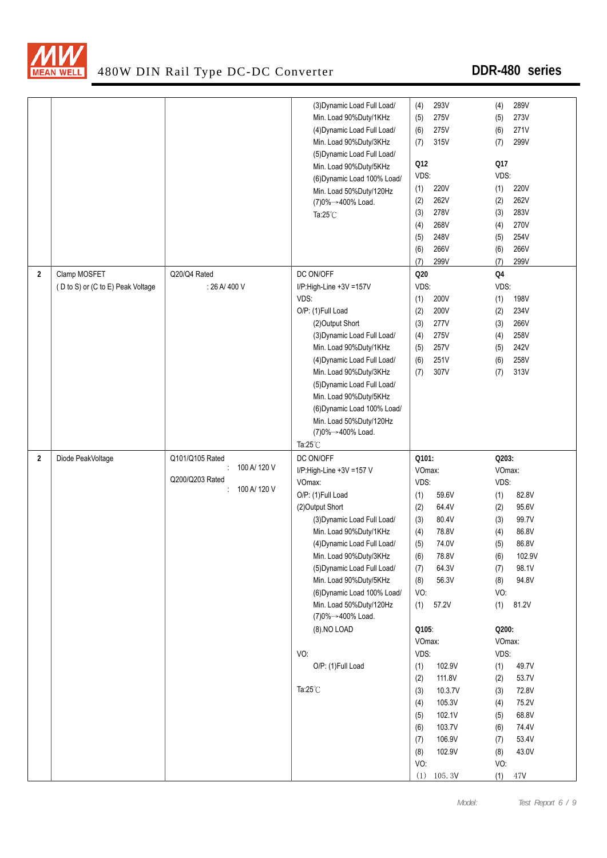

|                         |                                   |                 | (3) Dynamic Load Full Load/ | 293V<br>(4)    | 289V<br>(4)           |
|-------------------------|-----------------------------------|-----------------|-----------------------------|----------------|-----------------------|
|                         |                                   |                 | Min. Load 90%Duty/1KHz      | 275V<br>(5)    | 273V<br>(5)           |
|                         |                                   |                 | (4) Dynamic Load Full Load/ | 275V<br>(6)    | 271V<br>(6)           |
|                         |                                   |                 | Min. Load 90%Duty/3KHz      | 315V<br>(7)    | 299V<br>(7)           |
|                         |                                   |                 | (5) Dynamic Load Full Load/ |                |                       |
|                         |                                   |                 | Min. Load 90%Duty/5KHz      | Q12            | Q17                   |
|                         |                                   |                 | (6) Dynamic Load 100% Load/ | VDS:           | VDS:                  |
|                         |                                   |                 | Min. Load 50%Duty/120Hz     | 220V<br>(1)    | <b>220V</b><br>(1)    |
|                         |                                   |                 | (7)0%→400% Load.            | 262V<br>(2)    | 262V<br>(2)           |
|                         |                                   |                 | Ta: $25^{\circ}$ C          | 278V<br>(3)    | 283V<br>(3)           |
|                         |                                   |                 |                             | 268V<br>(4)    | 270V<br>(4)           |
|                         |                                   |                 |                             | 248V<br>(5)    | 254V<br>(5)           |
|                         |                                   |                 |                             | 266V<br>(6)    | (6)<br>266V           |
|                         |                                   |                 |                             | 299V           | (7)<br>299V           |
|                         |                                   |                 |                             | (7)            |                       |
| $\overline{2}$          | Clamp MOSFET                      | Q20/Q4 Rated    | DC ON/OFF                   | Q20            | Q4                    |
|                         | (D to S) or (C to E) Peak Voltage | : 26 A/ 400 V   | I/P:High-Line +3V =157V     | VDS:           | VDS:                  |
|                         |                                   |                 | VDS:                        | 200V<br>(1)    | 198V<br>(1)           |
|                         |                                   |                 | O/P: (1)Full Load           | (2)<br>200V    | 234V<br>(2)           |
|                         |                                   |                 | (2) Output Short            | (3)<br>277V    | (3)<br>266V           |
|                         |                                   |                 | (3) Dynamic Load Full Load/ | 275V<br>(4)    | 258V<br>(4)           |
|                         |                                   |                 | Min. Load 90%Duty/1KHz      | 257V<br>(5)    | 242V<br>(5)           |
|                         |                                   |                 | (4) Dynamic Load Full Load/ | 251V<br>(6)    | 258V<br>(6)           |
|                         |                                   |                 | Min. Load 90%Duty/3KHz      | 307V<br>(7)    | 313V<br>(7)           |
|                         |                                   |                 | (5) Dynamic Load Full Load/ |                |                       |
|                         |                                   |                 | Min. Load 90%Duty/5KHz      |                |                       |
|                         |                                   |                 | (6) Dynamic Load 100% Load/ |                |                       |
|                         |                                   |                 | Min. Load 50%Duty/120Hz     |                |                       |
|                         |                                   |                 | (7)0%→400% Load.            |                |                       |
|                         |                                   |                 | Ta: $25^{\circ}$ C          |                |                       |
| $\overline{\mathbf{2}}$ | Diode PeakVoltage                 | Q101/Q105 Rated | DC ON/OFF                   | Q101:          | Q203:                 |
|                         |                                   | 100 A/ 120 V    | I/P:High-Line +3V =157 V    | VOmax:         | VOmax:                |
|                         |                                   | Q200/Q203 Rated | VOmax:                      | VDS:           | VDS:                  |
|                         |                                   | 100 A/ 120 V    | O/P: (1)Full Load           | 59.6V<br>(1)   | 82.8V<br>(1)          |
|                         |                                   |                 | (2) Output Short            | (2)<br>64.4V   | (2)<br>95.6V          |
|                         |                                   |                 | (3) Dynamic Load Full Load/ | 80.4V<br>(3)   | 99.7V<br>(3)          |
|                         |                                   |                 | Min. Load 90%Duty/1KHz      | 78.8V          | 86.8V                 |
|                         |                                   |                 |                             | (4)            | (4)                   |
|                         |                                   |                 | (4) Dynamic Load Full Load/ | 74.0V<br>(5)   | (5)<br>86.8V          |
|                         |                                   |                 | Min. Load 90%Duty/3KHz      | 78.8V<br>(6)   | 102.9V<br>(6)         |
|                         |                                   |                 | (5) Dynamic Load Full Load/ | 64.3V<br>(7)   | 98.1V<br>(7)          |
|                         |                                   |                 | Min. Load 90%Duty/5KHz      | (8)<br>56.3V   | 94.8V<br>(8)          |
|                         |                                   |                 | (6) Dynamic Load 100% Load/ | VO:            | VO.                   |
|                         |                                   |                 | Min. Load 50%Duty/120Hz     | (1)<br>57.2V   | 81.2V<br>(1)          |
|                         |                                   |                 | (7)0%→400% Load.            |                |                       |
|                         |                                   |                 | (8).NO LOAD                 | Q105:          | Q200:                 |
|                         |                                   |                 |                             | VOmax:         | VOmax:                |
|                         |                                   |                 | VO:                         | VDS:           | VDS:                  |
|                         |                                   |                 | O/P: (1)Full Load           | 102.9V<br>(1)  | 49.7V<br>(1)          |
|                         |                                   |                 |                             | 111.8V<br>(2)  | (2)<br>53.7V          |
|                         |                                   |                 | Ta: $25^{\circ}$ C          | 10.3.7V<br>(3) | 72.8V<br>(3)          |
|                         |                                   |                 |                             | 105.3V<br>(4)  | 75.2V<br>(4)          |
|                         |                                   |                 |                             | 102.1V<br>(5)  | 68.8V<br>(5)          |
|                         |                                   |                 |                             | 103.7V<br>(6)  | 74.4V<br>(6)          |
|                         |                                   |                 |                             | 106.9V<br>(7)  | 53.4V<br>(7)          |
|                         |                                   |                 |                             | 102.9V<br>(8)  | 43.0V<br>(8)          |
|                         |                                   |                 |                             | VO:            | VO.                   |
|                         |                                   |                 |                             | (1)<br>105.3V  | (1)<br>$47\mathrm{V}$ |
|                         |                                   |                 |                             |                |                       |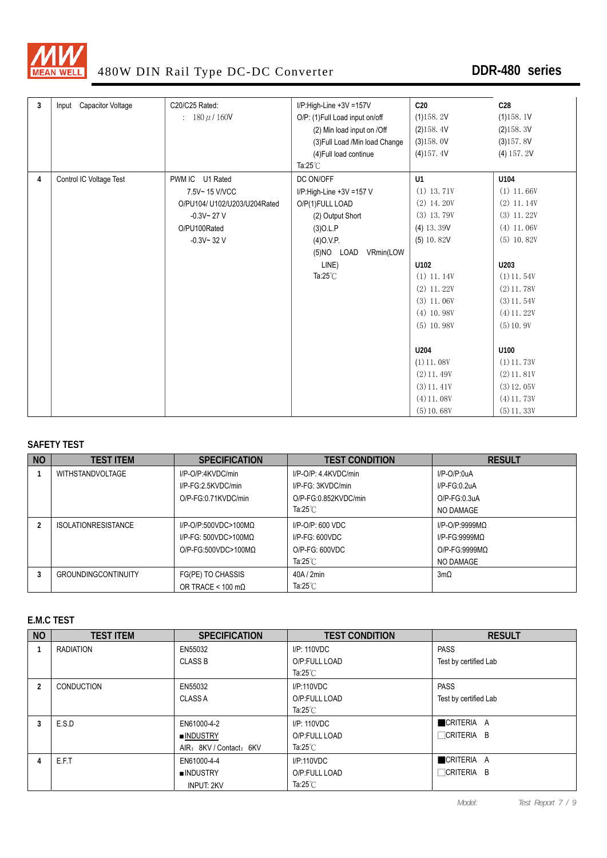

| 3 | Input Capacitor Voltage | C20/C25 Rated:               | I/P:High-Line +3V =157V         | C <sub>20</sub> | C <sub>28</sub> |
|---|-------------------------|------------------------------|---------------------------------|-----------------|-----------------|
|   |                         | : $180 \mu / 160V$           | O/P: (1) Full Load input on/off | (1)158.2V       | (1)158.1V       |
|   |                         |                              | (2) Min load input on /Off      | (2)158.4V       | (2)158.3V       |
|   |                         |                              | (3) Full Load /Min load Change  | (3)158.0V       | (3)157.8V       |
|   |                         |                              | (4) Full load continue          | (4)157.4V       | $(4)$ 157. 2V   |
|   |                         |                              | Ta: $25^{\circ}$ C              |                 |                 |
| 4 | Control IC Voltage Test | PWM IC U1 Rated              | DC ON/OFF                       | U1              | U104            |
|   |                         | 7.5V~15 V/VCC                | I/P:High-Line +3V =157 V        | $(1)$ 13.71V    | $(1)$ 11.66V    |
|   |                         | O/PU104/ U102/U203/U204Rated | O/P(1)FULL LOAD                 | $(2)$ 14.20V    | $(2)$ 11.14V    |
|   |                         | $-0.3V - 27V$                | (2) Output Short                | $(3)$ 13.79V    | $(3)$ 11.22V    |
|   |                         | O/PU100Rated                 | $(3)$ O.L.P                     | $(4)$ 13.39V    | $(4)$ 11.06V    |
|   |                         | $-0.3V - 32V$                | (4)0.V.P.                       | $(5)$ 10.82V    | $(5)$ 10.82V    |
|   |                         |                              | (5)NO LOAD<br>VRmin(LOW         |                 |                 |
|   |                         |                              | LINE)                           | U102            | U203            |
|   |                         |                              | Ta: $25^{\circ}$ C              | $(1)$ 11.14V    | $(1)$ 11.54V    |
|   |                         |                              |                                 | $(2)$ 11.22V    | $(2)$ 11.78V    |
|   |                         |                              |                                 | $(3)$ 11, 06V   | $(3)$ 11.54V    |
|   |                         |                              |                                 | $(4)$ 10.98V    | $(4)$ 11.22V    |
|   |                         |                              |                                 | $(5)$ 10.98V    | (5) 10.9V       |
|   |                         |                              |                                 |                 |                 |
|   |                         |                              |                                 | U204            | U100            |
|   |                         |                              |                                 | $(1)$ 11.08V    | $(1)$ 11, 73V   |
|   |                         |                              |                                 | $(2)$ 11, 49V   | $(2)$ 11, 81V   |
|   |                         |                              |                                 | $(3)$ 11.41V    | $(3)$ 12.05V    |
|   |                         |                              |                                 | $(4)$ 11.08V    | $(4)$ 11.73V    |
|   |                         |                              |                                 | (5) 10.68V      | $(5)$ 11.33V    |

#### **SAFETY TEST**

| <b>NO</b> | <b>TEST ITEM</b>           | <b>SPECIFICATION</b>      | <b>TEST CONDITION</b>      | <b>RESULT</b>     |
|-----------|----------------------------|---------------------------|----------------------------|-------------------|
|           | <b>WITHSTANDVOLTAGE</b>    | I/P-O/P:4KVDC/min         | I/P-O/P: 4.4KVDC/min       | $I/P$ -O/P:0uA    |
|           |                            | I/P-FG:2.5KVDC/min        | I/P-FG: 3KVDC/min          | $I/P-FG:0.2uA$    |
|           |                            | O/P-FG:0.71KVDC/min       | O/P-FG:0.852KVDC/min       | $O/P$ -FG:0.3uA   |
|           |                            |                           | Ta:25 $^{\circ}$ C         | NO DAMAGE         |
|           | <b>ISOLATIONRESISTANCE</b> | $I/P$ -O/P:500VDC>100MQ   | $I/P$ -O/P: 600 VDC        | $I/P$ -O/P:9999MQ |
|           |                            | $I/P-FG: 500VDC > 100MO$  | $I/P-FG: 600VDC$           | $I/P-FG:9999MO$   |
|           |                            | $O/P$ -FG:500VDC>100MQ    | O/P-FG: 600VDC             | $O/P-FG:9999MO$   |
|           |                            |                           | Ta:25 $^{\circ}$ C         | NO DAMAGE         |
|           | <b>GROUNDINGCONTINUITY</b> | FG(PE) TO CHASSIS         | 40A/2min                   | $3m\Omega$        |
|           |                            | OR TRACE < 100 m $\Omega$ | Ta:25 $^{\circ}\mathrm{C}$ |                   |

#### **E.M.C TEST**

| <b>NO</b> | <b>TEST ITEM</b> | <b>SPECIFICATION</b>    | <b>TEST CONDITION</b> | <b>RESULT</b>         |
|-----------|------------------|-------------------------|-----------------------|-----------------------|
|           | RADIATION        | EN55032                 | I/P: 110VDC           | <b>PASS</b>           |
|           |                  | <b>CLASS B</b>          | O/P:FULL LOAD         | Test by certified Lab |
|           |                  |                         | Ta: $25^{\circ}$ C    |                       |
| 2         | CONDUCTION       | EN55032                 | I/P:110VDC            | <b>PASS</b>           |
|           |                  | <b>CLASS A</b>          | O/P:FULL LOAD         | Test by certified Lab |
|           |                  |                         | Ta: $25^{\circ}$ C    |                       |
| 3         | E.S.D            | EN61000-4-2             | I/P: 110VDC           | CRITERIA A            |
|           |                  | ■INDUSTRY               | O/P:FULL LOAD         | $\Box$ CRITERIA B     |
|           |                  | AIR: 8KV / Contact: 6KV | Ta:25 $^{\circ}$ C    |                       |
|           | E.F.T            | EN61000-4-4             | I/P:110VDC            | CRITERIA A            |
|           |                  | <b>INDUSTRY</b>         | O/P:FULL LOAD         | $\Box$ CRITERIA B     |
|           |                  | <b>INPUT: 2KV</b>       | Ta:25 $°C$            |                       |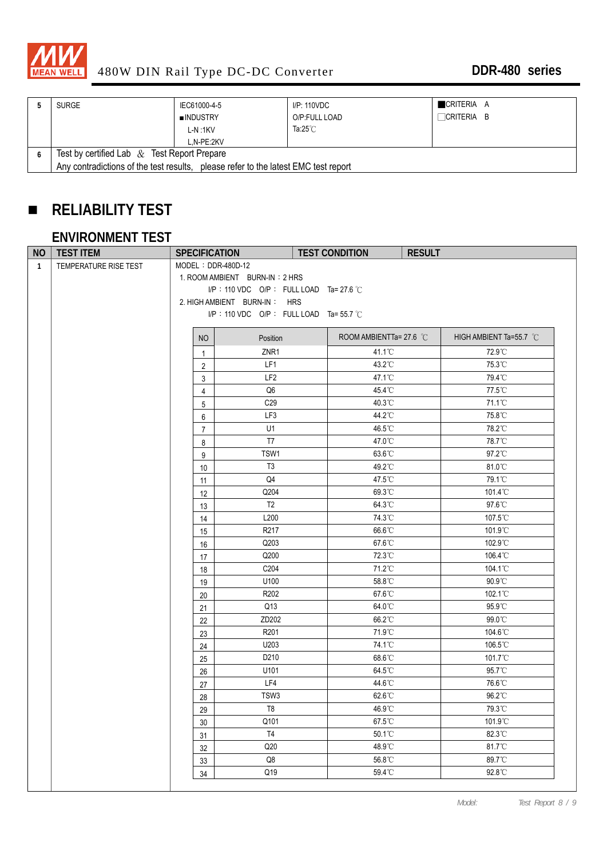

| <b>SURGE</b>                                                                       | IEC61000-4-5 | I/P: 110VDC        | CRITERIA A        |  |  |
|------------------------------------------------------------------------------------|--------------|--------------------|-------------------|--|--|
|                                                                                    | ■INDUSTRY    | O/P:FULL LOAD      | $\Box$ CRITERIA B |  |  |
|                                                                                    | L-N:1KV      | Ta: $25^{\circ}$ C |                   |  |  |
|                                                                                    | L.N-PE:2KV   |                    |                   |  |  |
| Test by certified Lab $\&$ Test Report Prepare                                     |              |                    |                   |  |  |
| Any contradictions of the test results, please refer to the latest EMC test report |              |                    |                   |  |  |

# **RELIABILITY TEST**

# **ENVIRONMENT TEST**

| <b>NO</b>    | <b>TEST ITEM</b>      | <b>SPECIFICATION</b> |                                                  | <b>TEST CONDITION</b>   | <b>RESULT</b>           |
|--------------|-----------------------|----------------------|--------------------------------------------------|-------------------------|-------------------------|
| $\mathbf{1}$ | TEMPERATURE RISE TEST | MODEL: DDR-480D-12   |                                                  |                         |                         |
|              |                       |                      | 1. ROOM AMBIENT BURN-IN: 2 HRS                   |                         |                         |
|              |                       |                      | I/P: 110 VDC O/P: FULL LOAD Ta= 27.6 °C          |                         |                         |
|              |                       |                      | 2. HIGH AMBIENT BURN-IN: HRS                     |                         |                         |
|              |                       |                      | I/P: 110 VDC O/P: FULL LOAD Ta= 55.7 $\degree$ C |                         |                         |
|              |                       | NO                   | Position                                         | ROOM AMBIENTTa= 27.6 °C | HIGH AMBIENT Ta=55.7 °C |
|              |                       | $\mathbf{1}$         | ZNR1                                             | 41.1°C                  | 72.9°C                  |
|              |                       | 2                    | LF1                                              | 43.2°C                  | 75.3°C                  |
|              |                       | 3                    | LF <sub>2</sub>                                  | 47.1°C                  | 79.4°C                  |
|              |                       | 4                    | Q <sub>6</sub>                                   | 45.4°C                  | 77.5°C                  |
|              |                       | $5\,$                | C <sub>29</sub>                                  | 40.3°C                  | 71.1°C                  |
|              |                       | 6                    | LF3                                              | 44.2°C                  | 75.8°C                  |
|              |                       | $\overline{7}$       | U1                                               | 46.5°C                  | 78.2°C                  |
|              |                       | 8                    | T7                                               | 47.0°C                  | 78.7°C                  |
|              |                       | 9                    | TSW1                                             | 63.6°C                  | 97.2°C                  |
|              |                       | 10                   | T <sub>3</sub>                                   | 49.2°C                  | 81.0°C                  |
|              |                       | 11                   | Q4                                               | 47.5°C                  | 79.1°C                  |
|              |                       | 12                   | Q204                                             | 69.3°C                  | 101.4°C                 |
|              |                       | 13                   | T <sub>2</sub>                                   | 64.3°C                  | 97.6°C                  |
|              |                       | 14                   | L200                                             | 74.3°C                  | 107.5°C                 |
|              |                       | 15                   | R <sub>217</sub>                                 | 66.6°C                  | 101.9°C                 |
|              |                       | 16                   | Q203                                             | 67.6°C                  | 102.9°C                 |
|              |                       | 17                   | Q200                                             | 72.3°C                  | 106.4°C                 |
|              |                       | 18                   | C204                                             | 71.2°C                  | 104.1°C                 |
|              |                       | 19                   | U100                                             | 58.8°C                  | $90.9^{\circ}$ C        |
|              |                       | 20                   | R202                                             | 67.6°C                  | 102.1°C                 |
|              |                       | 21                   | Q13                                              | 64.0°C                  | 95.9°C                  |
|              |                       | 22                   | ZD202                                            | 66.2°C                  | 99.0°C                  |
|              |                       | 23                   | R201                                             | 71.9°C                  | 104.6°C                 |
|              |                       | 24                   | U203                                             | 74.1°C                  | 106.5°C                 |
|              |                       | 25                   | D210                                             | 68.6°C                  | 101.7°C                 |
|              |                       | 26                   | U101                                             | 64.5°C                  | 95.7°C                  |
|              |                       | 27                   | LF4                                              | 44.6°C                  | 76.6°C                  |
|              |                       | 28                   | TSW3                                             | 62.6°C                  | 96.2°C                  |
|              |                       | 29                   | $\mathsf{T}8$                                    | 46.9°C                  | 79.3°C                  |
|              |                       | 30                   | Q101                                             | 67.5°C                  | 101.9°C                 |
|              |                       | 31                   | T4                                               | 50.1°C                  | 82.3°C                  |
|              |                       | 32                   | Q20                                              | 48.9°C                  | 81.7°C                  |
|              |                       | 33                   | $\mathsf{Q8}$                                    | 56.8°C                  | 89.7°C                  |
|              |                       | 34                   | Q19                                              | 59.4°C                  | 92.8°C                  |
|              |                       |                      |                                                  |                         |                         |